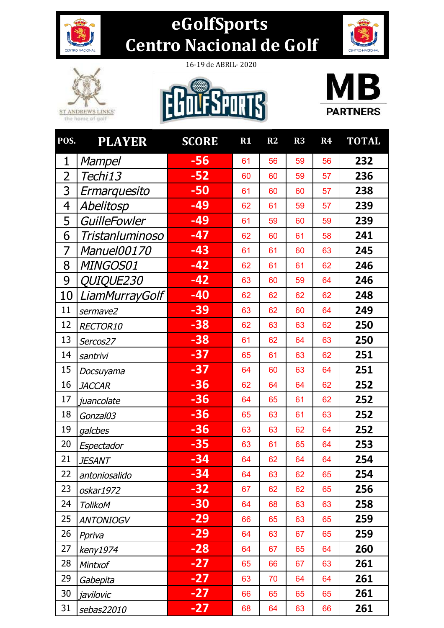

## **eGolfSports**  Centro Nacional de Golf





16-19 de ABRIL- 2020





| POS.           | <b>PLAYER</b>           | <b>SCORE</b> | $R1$ | R2 | $\overline{\mathbf{R3}}$ | R <sub>4</sub> | <b>TOTAL</b> |
|----------------|-------------------------|--------------|------|----|--------------------------|----------------|--------------|
| 1              | <b>Mampel</b>           | $-56$        | 61   | 56 | 59                       | 56             | 232          |
| $\overline{2}$ | Techi13                 | $-52$        | 60   | 60 | 59                       | 57             | 236          |
| 3              | Ermarquesito            | $-50$        | 61   | 60 | 60                       | 57             | 238          |
| 4              | Abelitosp               | $-49$        | 62   | 61 | 59                       | 57             | 239          |
| 5              | GuilleFowler            | $-49$        | 61   | 59 | 60                       | 59             | 239          |
| 6              | Tristanluminoso         | $-47$        | 62   | 60 | 61                       | 58             | 241          |
| 7              | <i>Manuel00170</i>      | $-43$        | 61   | 61 | 60                       | 63             | 245          |
| 8              | MINGOS01                | $-42$        | 62   | 61 | 61                       | 62             | 246          |
| 9              | <i><b>QUIQUE230</b></i> | $-42$        | 63   | 60 | 59                       | 64             | 246          |
| 10             | LiamMurrayGolf          | $-40$        | 62   | 62 | 62                       | 62             | 248          |
| 11             | sermave2                | $-39$        | 63   | 62 | 60                       | 64             | 249          |
| 12             | RECTOR10                | $-38$        | 62   | 63 | 63                       | 62             | 250          |
| 13             | Sercos27                | $-38$        | 61   | 62 | 64                       | 63             | 250          |
| 14             | santrivi                | $-37$        | 65   | 61 | 63                       | 62             | 251          |
| 15             | Docsuyama               | $-37$        | 64   | 60 | 63                       | 64             | 251          |
| 16             | <b>JACCAR</b>           | $-36$        | 62   | 64 | 64                       | 62             | 252          |
| 17             | juancolate              | $-36$        | 64   | 65 | 61                       | 62             | 252          |
| 18             | Gonzal03                | $-36$        | 65   | 63 | 61                       | 63             | 252          |
| 19             | galcbes                 | $-36$        | 63   | 63 | 62                       | 64             | 252          |
| 20             | Espectador              | $-35$        | 63   | 61 | 65                       | 64             | 253          |
| 21             | <i>JESANT</i>           | $-34$        | 64   | 62 | 64                       | 64             | 254          |
| 22             | antoniosalido           | -34          | 64   | 63 | 62                       | 65             | 254          |
| 23             | oskar1972               | $-32$        | 67   | 62 | 62                       | 65             | 256          |
| 24             | <b>TolikoM</b>          | $-30$        | 64   | 68 | 63                       | 63             | 258          |
| 25             | <i>ANTONIOGV</i>        | $-29$        | 66   | 65 | 63                       | 65             | 259          |
| 26             | Ppriva                  | $-29$        | 64   | 63 | 67                       | 65             | 259          |
| 27             | keny1974                | $-28$        | 64   | 67 | 65                       | 64             | 260          |
| 28             | Mintxof                 | $-27$        | 65   | 66 | 67                       | 63             | 261          |
| 29             | Gabepita                | $-27$        | 63   | 70 | 64                       | 64             | 261          |
| 30             | javilovic               | $-27$        | 66   | 65 | 65                       | 65             | 261          |
| 31             | sebas22010              | $-27$        | 68   | 64 | 63                       | 66             | 261          |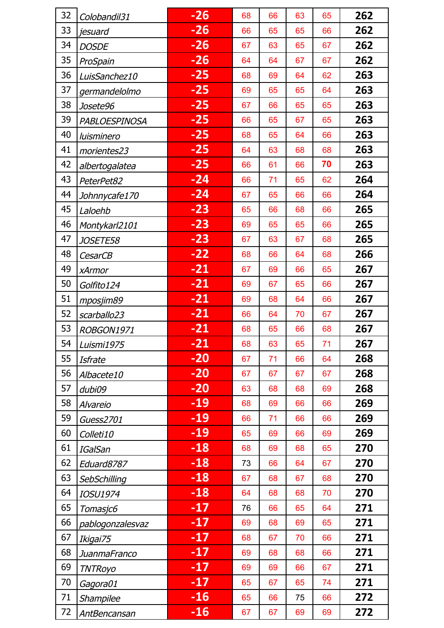| 32 | Colobandil31     | $-26$ | 68 | 66 | 63 | 65 | 262 |
|----|------------------|-------|----|----|----|----|-----|
| 33 | jesuard          | $-26$ | 66 | 65 | 65 | 66 | 262 |
| 34 | <b>DOSDE</b>     | $-26$ | 67 | 63 | 65 | 67 | 262 |
| 35 | ProSpain         | $-26$ | 64 | 64 | 67 | 67 | 262 |
| 36 | LuisSanchez10    | $-25$ | 68 | 69 | 64 | 62 | 263 |
| 37 | germandelolmo    | $-25$ | 69 | 65 | 65 | 64 | 263 |
| 38 | Josete96         | $-25$ | 67 | 66 | 65 | 65 | 263 |
| 39 | PABLOESPINOSA    | $-25$ | 66 | 65 | 67 | 65 | 263 |
| 40 | luisminero       | $-25$ | 68 | 65 | 64 | 66 | 263 |
| 41 | morientes23      | $-25$ | 64 | 63 | 68 | 68 | 263 |
| 42 | albertogalatea   | $-25$ | 66 | 61 | 66 | 70 | 263 |
| 43 | PeterPet82       | $-24$ | 66 | 71 | 65 | 62 | 264 |
| 44 | Johnnycafe170    | $-24$ | 67 | 65 | 66 | 66 | 264 |
| 45 | Laloehb          | $-23$ | 65 | 66 | 68 | 66 | 265 |
| 46 | Montykarl2101    | $-23$ | 69 | 65 | 65 | 66 | 265 |
| 47 | <i>JOSETE58</i>  | $-23$ | 67 | 63 | 67 | 68 | 265 |
| 48 | <b>CesarCB</b>   | $-22$ | 68 | 66 | 64 | 68 | 266 |
| 49 | xArmor           | $-21$ | 67 | 69 | 66 | 65 | 267 |
| 50 | Golfito124       | $-21$ | 69 | 67 | 65 | 66 | 267 |
| 51 | mposjim89        | $-21$ | 69 | 68 | 64 | 66 | 267 |
| 52 | scarballo23      | $-21$ | 66 | 64 | 70 | 67 | 267 |
| 53 | ROBGON1971       | $-21$ | 68 | 65 | 66 | 68 | 267 |
| 54 | Luismi1975       | $-21$ | 68 | 63 | 65 | 71 | 267 |
| 55 | Isfrate          | $-20$ | 67 | 71 | 66 | 64 | 268 |
| 56 | Albacete10       | $-20$ | 67 | 67 | 67 | 67 | 268 |
| 57 | dubi09           | $-20$ | 63 | 68 | 68 | 69 | 268 |
| 58 | Alvareio         | -19   | 68 | 69 | 66 | 66 | 269 |
| 59 | Guess2701        | $-19$ | 66 | 71 | 66 | 66 | 269 |
| 60 | Colleti10        | $-19$ | 65 | 69 | 66 | 69 | 269 |
| 61 | <b>IGalSan</b>   | $-18$ | 68 | 69 | 68 | 65 | 270 |
| 62 | Eduard8787       | $-18$ | 73 | 66 | 64 | 67 | 270 |
| 63 | SebSchilling     | $-18$ | 67 | 68 | 67 | 68 | 270 |
| 64 | <b>IOSU1974</b>  | $-18$ | 64 | 68 | 68 | 70 | 270 |
| 65 | Tomasjc6         | $-17$ | 76 | 66 | 65 | 64 | 271 |
| 66 | pablogonzalesvaz | $-17$ | 69 | 68 | 69 | 65 | 271 |
| 67 | Ikigai75         | $-17$ | 68 | 67 | 70 | 66 | 271 |
| 68 | JuanmaFranco     | $-17$ | 69 | 68 | 68 | 66 | 271 |
| 69 | <b>TNTRoyo</b>   | $-17$ | 69 | 69 | 66 | 67 | 271 |
| 70 | Gagora01         | $-17$ | 65 | 67 | 65 | 74 | 271 |
| 71 | Shampilee        | $-16$ | 65 | 66 | 75 | 66 | 272 |
| 72 | AntBencansan     | $-16$ | 67 | 67 | 69 | 69 | 272 |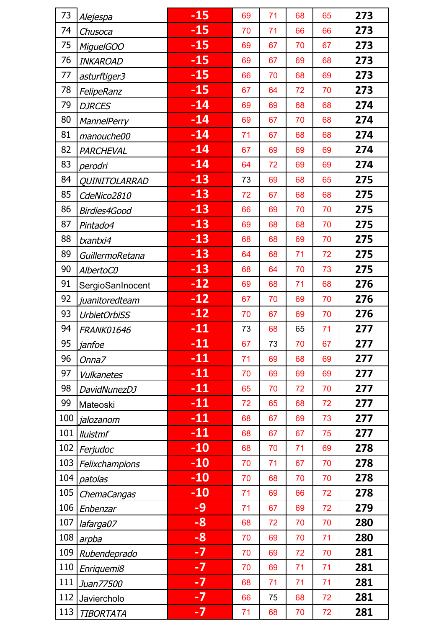| 73  | Alejespa            | $-15$ | 69 | 71 | 68 | 65 | 273 |
|-----|---------------------|-------|----|----|----|----|-----|
| 74  | Chusoca             | $-15$ | 70 | 71 | 66 | 66 | 273 |
| 75  | MiguelGOO           | $-15$ | 69 | 67 | 70 | 67 | 273 |
| 76  | <b>INKAROAD</b>     | $-15$ | 69 | 67 | 69 | 68 | 273 |
| 77  | asturftiger3        | $-15$ | 66 | 70 | 68 | 69 | 273 |
| 78  | FelipeRanz          | $-15$ | 67 | 64 | 72 | 70 | 273 |
| 79  | <b>DJRCES</b>       | $-14$ | 69 | 69 | 68 | 68 | 274 |
| 80  | <b>MannelPerry</b>  | $-14$ | 69 | 67 | 70 | 68 | 274 |
| 81  | manouche00          | $-14$ | 71 | 67 | 68 | 68 | 274 |
| 82  | PARCHEVAL           | $-14$ | 67 | 69 | 69 | 69 | 274 |
| 83  | perodri             | $-14$ | 64 | 72 | 69 | 69 | 274 |
| 84  | QUINITOLARRAD       | $-13$ | 73 | 69 | 68 | 65 | 275 |
| 85  | CdeNico2810         | $-13$ | 72 | 67 | 68 | 68 | 275 |
| 86  | Birdies4Good        | $-13$ | 66 | 69 | 70 | 70 | 275 |
| 87  | Pintado4            | $-13$ | 69 | 68 | 68 | 70 | 275 |
| 88  | txantxi4            | $-13$ | 68 | 68 | 69 | 70 | 275 |
| 89  | GuillermoRetana     | $-13$ | 64 | 68 | 71 | 72 | 275 |
| 90  | AlbertoC0           | $-13$ | 68 | 64 | 70 | 73 | 275 |
| 91  | SergioSanInocent    | $-12$ | 69 | 68 | 71 | 68 | 276 |
| 92  | juanitoredteam      | $-12$ | 67 | 70 | 69 | 70 | 276 |
| 93  | <b>UrbietOrbiSS</b> | $-12$ | 70 | 67 | 69 | 70 | 276 |
| 94  | <b>FRANK01646</b>   | $-11$ | 73 | 68 | 65 | 71 | 277 |
| 95  | janfoe              | $-11$ | 67 | 73 | 70 | 67 | 277 |
| 96  | Onna7               | $-11$ | 71 | 69 | 68 | 69 | 277 |
| 97  | Vulkanetes          | $-11$ | 70 | 69 | 69 | 69 | 277 |
| 98  | DavidNunezDJ        | $-11$ | 65 | 70 | 72 | 70 | 277 |
| 99  | Mateoski            | $-11$ | 72 | 65 | 68 | 72 | 277 |
| 100 | jalozanom           | $-11$ | 68 | 67 | 69 | 73 | 277 |
| 101 | <b>Iluistmf</b>     | $-11$ | 68 | 67 | 67 | 75 | 277 |
| 102 | Ferjudoc            | $-10$ | 68 | 70 | 71 | 69 | 278 |
| 103 | Felixchampions      | $-10$ | 70 | 71 | 67 | 70 | 278 |
| 104 | patolas             | $-10$ | 70 | 68 | 70 | 70 | 278 |
| 105 | ChemaCangas         | $-10$ | 71 | 69 | 66 | 72 | 278 |
| 106 | Enbenzar            | -9    | 71 | 67 | 69 | 72 | 279 |
| 107 | lafarga07           | -8    | 68 | 72 | 70 | 70 | 280 |
| 108 | arpba               | -8    | 70 | 69 | 70 | 71 | 280 |
| 109 | Rubendeprado        | $-7$  | 70 | 69 | 72 | 70 | 281 |
| 110 | Enriquemi8          | $-7$  | 70 | 69 | 71 | 71 | 281 |
| 111 | Juan77500           | $-7$  | 68 | 71 | 71 | 71 | 281 |
| 112 | Javiercholo         | $-7$  | 66 | 75 | 68 | 72 | 281 |
| 113 | <b>TIBORTATA</b>    | $-7$  | 71 | 68 | 70 | 72 | 281 |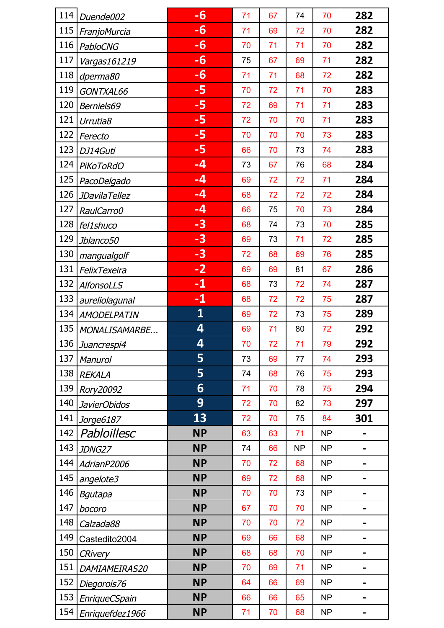| 114 | Duende002            | $-6$                    | 71 | 67 | 74        | 70        | 282                      |
|-----|----------------------|-------------------------|----|----|-----------|-----------|--------------------------|
| 115 | FranjoMurcia         | $-6$                    | 71 | 69 | 72        | 70        | 282                      |
| 116 | <b>PabloCNG</b>      | -6                      | 70 | 71 | 71        | 70        | 282                      |
| 117 | Vargas161219         | $-6$                    | 75 | 67 | 69        | 71        | 282                      |
| 118 | dperma80             | -6                      | 71 | 71 | 68        | 72        | 282                      |
| 119 | GONTXAL66            | -5                      | 70 | 72 | 71        | 70        | 283                      |
| 120 | Berniels69           | -5                      | 72 | 69 | 71        | 71        | 283                      |
| 121 | Urrutia8             | $-5$                    | 72 | 70 | 70        | 71        | 283                      |
| 122 | Ferecto              | -5                      | 70 | 70 | 70        | 73        | 283                      |
| 123 | DJ14Guti             | $-5$                    | 66 | 70 | 73        | 74        | 283                      |
| 124 | <b>PiKoToRdO</b>     | $-4$                    | 73 | 67 | 76        | 68        | 284                      |
| 125 | PacoDelgado          | $-4$                    | 69 | 72 | 72        | 71        | 284                      |
| 126 | <b>JDavilaTellez</b> | $-4$                    | 68 | 72 | 72        | 72        | 284                      |
| 127 | RaulCarro0           | $-4$                    | 66 | 75 | 70        | 73        | 284                      |
| 128 | fel1shuco            | $-3$                    | 68 | 74 | 73        | 70        | 285                      |
| 129 | Jblanco50            | $-3$                    | 69 | 73 | 71        | 72        | 285                      |
| 130 | mangualgolf          | $-3$                    | 72 | 68 | 69        | 76        | 285                      |
| 131 | FelixTexeira         | $-2$                    | 69 | 69 | 81        | 67        | 286                      |
| 132 | AlfonsoLLS           | $-1$                    | 68 | 73 | 72        | 74        | 287                      |
| 133 | aureliolagunal       | $-1$                    | 68 | 72 | 72        | 75        | 287                      |
| 134 | <b>AMODELPATIN</b>   | $\overline{\mathbf{1}}$ | 69 | 72 | 73        | 75        | 289                      |
| 135 | MONALISAMARBE        | 4                       | 69 | 71 | 80        | 72        | 292                      |
| 136 | Juancrespi4          | 4                       | 70 | 72 | 71        | 79        | 292                      |
| 137 | Manurol              | 5                       | 73 | 69 | 77        | 74        | 293                      |
| 138 | <b>REKALA</b>        | 5                       | 74 | 68 | 76        | 75        | 293                      |
| 139 | Rory20092            | 6                       | 71 | 70 | 78        | 75        | 294                      |
| 140 | JavierObidos         | 9                       | 72 | 70 | 82        | 73        | 297                      |
| 141 | Jorge6187            | 13                      | 72 | 70 | 75        | 84        | 301                      |
| 142 | Pabloillesc          | <b>NP</b>               | 63 | 63 | 71        | <b>NP</b> |                          |
| 143 | JDNG27               | <b>NP</b>               | 74 | 66 | <b>NP</b> | <b>NP</b> | -                        |
| 144 | AdrianP2006          | <b>NP</b>               | 70 | 72 | 68        | <b>NP</b> |                          |
| 145 | angelote3            | <b>NP</b>               | 69 | 72 | 68        | <b>NP</b> |                          |
| 146 | Bgutapa              | <b>NP</b>               | 70 | 70 | 73        | NP        | $\overline{\phantom{0}}$ |
| 147 | bocoro               | <b>NP</b>               | 67 | 70 | 70        | <b>NP</b> | -                        |
| 148 | Calzada88            | <b>NP</b>               | 70 | 70 | 72        | <b>NP</b> |                          |
| 149 | Castedito2004        | <b>NP</b>               | 69 | 66 | 68        | <b>NP</b> | $\overline{\phantom{0}}$ |
| 150 | <b>CRivery</b>       | <b>NP</b>               | 68 | 68 | 70        | <b>NP</b> |                          |
| 151 | DAMIAMEIRAS20        | <b>NP</b>               | 70 | 69 | 71        | <b>NP</b> |                          |
| 152 | Diegorois76          | <b>NP</b>               | 64 | 66 | 69        | <b>NP</b> | -                        |
| 153 | EnriqueCSpain        | <b>NP</b>               | 66 | 66 | 65        | <b>NP</b> |                          |
| 154 | Enriquefdez1966      | <b>NP</b>               | 71 | 70 | 68        | <b>NP</b> |                          |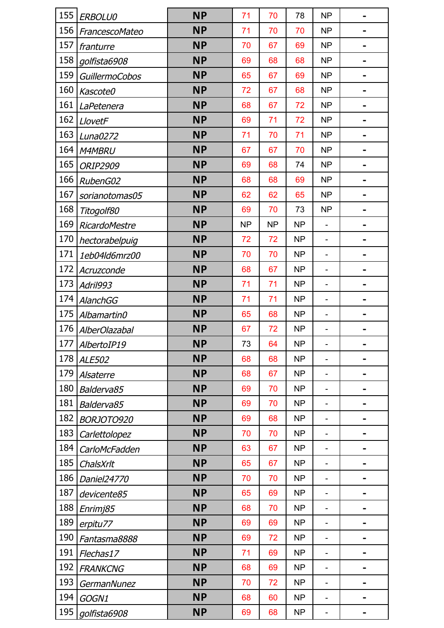| 155 | <b>ERBOLU0</b>        | <b>NP</b> | 71        | 70        | 78        | <b>NP</b> |                              |
|-----|-----------------------|-----------|-----------|-----------|-----------|-----------|------------------------------|
| 156 | FrancescoMateo        | <b>NP</b> | 71        | 70        | 70        | <b>NP</b> |                              |
| 157 | franturre             | <b>NP</b> | 70        | 67        | 69        | <b>NP</b> |                              |
| 158 | golfista6908          | <b>NP</b> | 69        | 68        | 68        | <b>NP</b> |                              |
| 159 | <b>GuillermoCobos</b> | <b>NP</b> | 65        | 67        | 69        | <b>NP</b> |                              |
| 160 | Kascote0              | <b>NP</b> | 72        | 67        | 68        | <b>NP</b> | -                            |
| 161 | LaPetenera            | <b>NP</b> | 68        | 67        | 72        | <b>NP</b> |                              |
| 162 | LlovetF               | <b>NP</b> | 69        | 71        | 72        | <b>NP</b> |                              |
| 163 | Luna0272              | <b>NP</b> | 71        | 70        | 71        | <b>NP</b> | -                            |
| 164 | <b>M4MBRU</b>         | <b>NP</b> | 67        | 67        | 70        | <b>NP</b> |                              |
| 165 | <b>ORIP2909</b>       | <b>NP</b> | 69        | 68        | 74        | <b>NP</b> |                              |
| 166 | RubenG02              | <b>NP</b> | 68        | 68        | 69        | <b>NP</b> | -                            |
| 167 | sorianotomas05        | <b>NP</b> | 62        | 62        | 65        | <b>NP</b> |                              |
| 168 | Titogolf80            | <b>NP</b> | 69        | 70        | 73        | <b>NP</b> |                              |
| 169 | <b>RicardoMestre</b>  | <b>NP</b> | <b>NP</b> | <b>NP</b> | <b>NP</b> |           | -                            |
| 170 | hectorabelpuig        | <b>NP</b> | 72        | 72        | <b>NP</b> |           |                              |
| 171 | 1eb04ld6mrz00         | <b>NP</b> | 70        | 70        | <b>NP</b> |           |                              |
| 172 | Acruzconde            | <b>NP</b> | 68        | 67        | <b>NP</b> |           | -                            |
| 173 | Adril993              | <b>NP</b> | 71        | 71        | <b>NP</b> |           |                              |
| 174 | <b>AlanchGG</b>       | <b>NP</b> | 71        | 71        | <b>NP</b> |           |                              |
| 175 | Albamartin0           | <b>NP</b> | 65        | 68        | <b>NP</b> |           | $\qquad \qquad \blacksquare$ |
| 176 | <b>AlberOlazabal</b>  | <b>NP</b> | 67        | 72        | <b>NP</b> |           |                              |
| 177 | AlbertoIP19           | <b>NP</b> | 73        | 64        | <b>NP</b> |           |                              |
| 178 | <b>ALE502</b>         | <b>NP</b> | 68        | 68        | <b>NP</b> |           |                              |
| 179 | Alsaterre             | <b>NP</b> | 68        | 67        | <b>NP</b> |           |                              |
| 180 | Balderva85            | <b>NP</b> | 69        | 70        | <b>NP</b> |           |                              |
| 181 | Balderva85            | <b>NP</b> | 69        | 70        | <b>NP</b> |           |                              |
| 182 | BORJOTO920            | <b>NP</b> | 69        | 68        | <b>NP</b> |           |                              |
| 183 | Carlettolopez         | <b>NP</b> | 70        | 70        | <b>NP</b> |           |                              |
| 184 | CarloMcFadden         | <b>NP</b> | 63        | 67        | <b>NP</b> |           |                              |
| 185 | ChalsXrlt             | <b>NP</b> | 65        | 67        | <b>NP</b> |           |                              |
| 186 | Daniel24770           | <b>NP</b> | 70        | 70        | <b>NP</b> |           |                              |
| 187 | devicente85           | <b>NP</b> | 65        | 69        | <b>NP</b> |           | $\qquad \qquad \blacksquare$ |
| 188 | Enrimj85              | <b>NP</b> | 68        | 70        | <b>NP</b> |           |                              |
| 189 | erpitu77              | <b>NP</b> | 69        | 69        | <b>NP</b> |           |                              |
| 190 | Fantasma8888          | <b>NP</b> | 69        | 72        | <b>NP</b> |           |                              |
| 191 | Flechas17             | <b>NP</b> | 71        | 69        | <b>NP</b> |           |                              |
| 192 | <b>FRANKCNG</b>       | <b>NP</b> | 68        | 69        | <b>NP</b> |           |                              |
| 193 | GermanNunez           | <b>NP</b> | 70        | 72        | <b>NP</b> |           |                              |
| 194 | GOGN1                 | <b>NP</b> | 68        | 60        | <b>NP</b> |           |                              |
| 195 | golfista6908          | <b>NP</b> | 69        | 68        | <b>NP</b> |           |                              |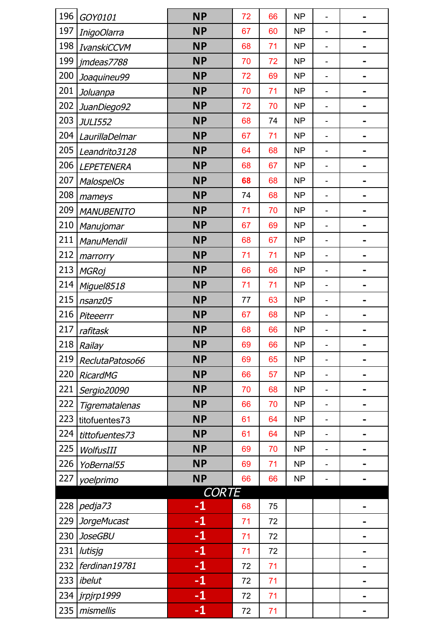| 196 | GOY0101            | <b>NP</b>    | 72 | 66 | <b>NP</b> |                |                |
|-----|--------------------|--------------|----|----|-----------|----------------|----------------|
| 197 | InigoOlarra        | <b>NP</b>    | 67 | 60 | <b>NP</b> |                |                |
| 198 | IvanskiCCVM        | <b>NP</b>    | 68 | 71 | <b>NP</b> |                |                |
| 199 | jmdeas7788         | <b>NP</b>    | 70 | 72 | <b>NP</b> |                |                |
| 200 | Joaquineu99        | <b>NP</b>    | 72 | 69 | <b>NP</b> |                |                |
| 201 | Joluanpa           | <b>NP</b>    | 70 | 71 | <b>NP</b> |                |                |
| 202 | JuanDiego92        | <b>NP</b>    | 72 | 70 | <b>NP</b> |                |                |
| 203 | <b>JULI552</b>     | <b>NP</b>    | 68 | 74 | <b>NP</b> |                |                |
| 204 | LaurillaDelmar     | <b>NP</b>    | 67 | 71 | <b>NP</b> |                |                |
| 205 | Leandrito3128      | <b>NP</b>    | 64 | 68 | <b>NP</b> |                |                |
| 206 | LEPETENERA         | <b>NP</b>    | 68 | 67 | <b>NP</b> |                |                |
| 207 | <b>MalospelOs</b>  | <b>NP</b>    | 68 | 68 | <b>NP</b> | $\overline{a}$ |                |
| 208 | mameys             | <b>NP</b>    | 74 | 68 | <b>NP</b> |                |                |
| 209 | <b>MANUBENITO</b>  | <b>NP</b>    | 71 | 70 | <b>NP</b> |                |                |
| 210 | Manujomar          | <b>NP</b>    | 67 | 69 | <b>NP</b> |                |                |
| 211 | ManuMendil         | <b>NP</b>    | 68 | 67 | <b>NP</b> |                |                |
| 212 | marrorry           | <b>NP</b>    | 71 | 71 | <b>NP</b> |                |                |
| 213 | <b>MGRoj</b>       | <b>NP</b>    | 66 | 66 | <b>NP</b> |                |                |
| 214 | Miguel8518         | <b>NP</b>    | 71 | 71 | <b>NP</b> |                |                |
| 215 | nsanz05            | <b>NP</b>    | 77 | 63 | <b>NP</b> |                |                |
| 216 | Piteeerrr          | <b>NP</b>    | 67 | 68 | <b>NP</b> |                |                |
| 217 | rafitask           | <b>NP</b>    | 68 | 66 | <b>NP</b> |                |                |
| 218 | Railay             | <b>NP</b>    | 69 | 66 | NP        |                |                |
| 219 | ReclutaPatoso66    | <b>NP</b>    | 69 | 65 | <b>NP</b> |                |                |
| 220 | <b>RicardMG</b>    | <b>NP</b>    | 66 | 57 | <b>NP</b> |                |                |
| 221 | Sergio20090        | <b>NP</b>    | 70 | 68 | <b>NP</b> |                |                |
| 222 | Tigrematalenas     | <b>NP</b>    | 66 | 70 | <b>NP</b> |                |                |
| 223 | titofuentes73      | <b>NP</b>    | 61 | 64 | <b>NP</b> |                |                |
| 224 | tittofuentes73     | <b>NP</b>    | 61 | 64 | <b>NP</b> |                |                |
| 225 | WolfusIII          | <b>NP</b>    | 69 | 70 | <b>NP</b> |                |                |
| 226 | YoBernal55         | <b>NP</b>    | 69 | 71 | <b>NP</b> |                |                |
| 227 | yoelprimo          | <b>NP</b>    | 66 | 66 | <b>NP</b> |                |                |
|     |                    | <b>CORTE</b> |    |    |           |                |                |
| 228 | pedja73            | $-1$         | 68 | 75 |           |                |                |
| 229 | <b>JorgeMucast</b> | $-1$         | 71 | 72 |           |                |                |
| 230 | <b>JoseGBU</b>     | $-1$         | 71 | 72 |           |                |                |
| 231 | lutisjg            | $-1$         | 71 | 72 |           |                | $\blacksquare$ |
| 232 | ferdinan19781      | $-1$         | 72 | 71 |           |                |                |
| 233 | ibelut             | $-1$         | 72 | 71 |           |                |                |
| 234 | jrpjrp1999         | $-1$         | 72 | 71 |           |                | $\blacksquare$ |
| 235 | mismellis          | $-1$         | 72 | 71 |           |                |                |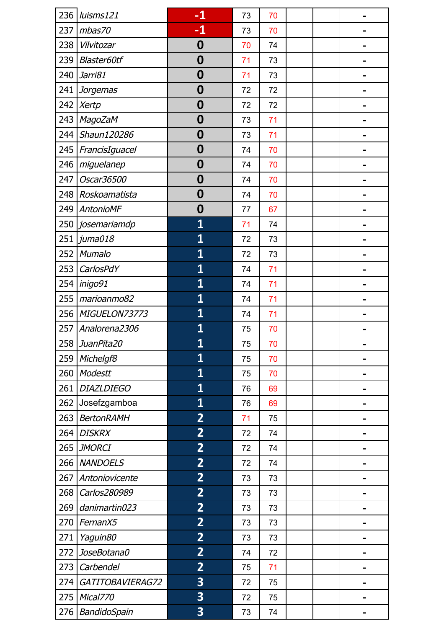| 236 | luisms121         | $-1$                    | 73 | 70 |  |  |
|-----|-------------------|-------------------------|----|----|--|--|
| 237 | mbas70            | $-1$                    | 73 | 70 |  |  |
| 238 | Vilvitozar        | 0                       | 70 | 74 |  |  |
| 239 | Blaster60tf       | $\boldsymbol{0}$        | 71 | 73 |  |  |
| 240 | Jarri81           | 0                       | 71 | 73 |  |  |
| 241 | <b>Jorgemas</b>   | $\boldsymbol{0}$        | 72 | 72 |  |  |
| 242 | <b>Xertp</b>      | $\boldsymbol{0}$        | 72 | 72 |  |  |
| 243 | <b>MagoZaM</b>    | 0                       | 73 | 71 |  |  |
| 244 | Shaun120286       | $\boldsymbol{0}$        | 73 | 71 |  |  |
| 245 | FrancisIguacel    | $\boldsymbol{0}$        | 74 | 70 |  |  |
| 246 | miguelanep        | 0                       | 74 | 70 |  |  |
| 247 | Oscar36500        | $\boldsymbol{0}$        | 74 | 70 |  |  |
| 248 | Roskoamatista     | $\boldsymbol{0}$        | 74 | 70 |  |  |
| 249 | AntonioMF         | 0                       | 77 | 67 |  |  |
| 250 | josemariamdp      | $\overline{\mathbf{1}}$ | 71 | 74 |  |  |
| 251 | juma018           | $\overline{\mathbf{1}}$ | 72 | 73 |  |  |
| 252 | Mumalo            | $\overline{\mathbf{1}}$ | 72 | 73 |  |  |
| 253 | CarlosPdY         | $\overline{\mathbf{1}}$ | 74 | 71 |  |  |
| 254 | inigo91           | $\overline{\mathbf{1}}$ | 74 | 71 |  |  |
| 255 | marioanmo82       | $\overline{\mathbf{1}}$ | 74 | 71 |  |  |
| 256 | MIGUELON73773     | $\overline{\mathbf{1}}$ | 74 | 71 |  |  |
| 257 | Analorena2306     | 1                       | 75 | 70 |  |  |
|     | 258 JuanPita20    | $\overline{\mathbf{1}}$ | 75 | 70 |  |  |
| 259 | Michelgf8         | $\overline{\mathbf{1}}$ | 75 | 70 |  |  |
| 260 | <b>Modestt</b>    | $\overline{\mathbf{1}}$ | 75 | 70 |  |  |
| 261 | <b>DIAZLDIEGO</b> | $\overline{\mathbf{1}}$ | 76 | 69 |  |  |
| 262 | Josefzgamboa      | $\overline{\mathbf{1}}$ | 76 | 69 |  |  |
| 263 | <b>BertonRAMH</b> | $\overline{2}$          | 71 | 75 |  |  |
| 264 | <b>DISKRX</b>     | $\overline{2}$          | 72 | 74 |  |  |
| 265 | <b>JMORCI</b>     | $\overline{2}$          | 72 | 74 |  |  |
| 266 | <b>NANDOELS</b>   | $\overline{2}$          | 72 | 74 |  |  |
| 267 | Antoniovicente    | $\overline{2}$          | 73 | 73 |  |  |
| 268 | Carlos280989      | $\overline{2}$          | 73 | 73 |  |  |
| 269 | danimartin023     | $\overline{2}$          | 73 | 73 |  |  |
| 270 | FernanX5          | $\overline{2}$          | 73 | 73 |  |  |
| 271 | Yaguin80          | $\overline{2}$          | 73 | 73 |  |  |
| 272 | JoseBotana0       | $\overline{2}$          | 74 | 72 |  |  |
| 273 | Carbendel         | $\overline{2}$          | 75 | 71 |  |  |
| 274 | GATITOBAVIERAG72  | 3                       | 72 | 75 |  |  |
| 275 | Mical770          | 3                       | 72 | 75 |  |  |
| 276 | BandidoSpain      | 3                       | 73 | 74 |  |  |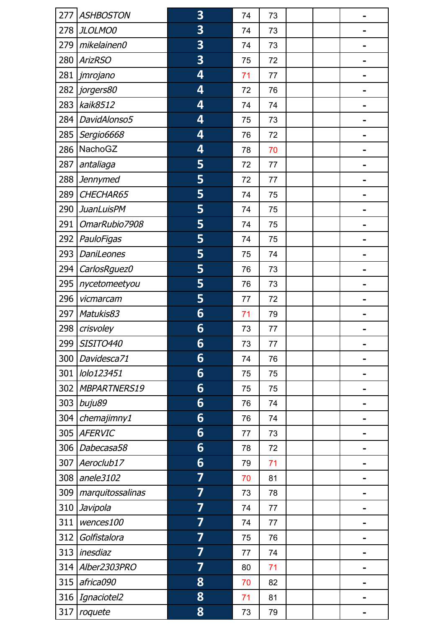| 277 | <b>ASHBOSTON</b>  | 3 | 74 | 73 |  |  |
|-----|-------------------|---|----|----|--|--|
| 278 | JLOLMO0           | 3 | 74 | 73 |  |  |
| 279 | mikelainen0       | 3 | 74 | 73 |  |  |
| 280 | <b>ArizRSO</b>    | 3 | 75 | 72 |  |  |
| 281 | jmrojano          | 4 | 71 | 77 |  |  |
| 282 | jorgers80         | 4 | 72 | 76 |  |  |
| 283 | kaik8512          | 4 | 74 | 74 |  |  |
| 284 | DavidAlonso5      | 4 | 75 | 73 |  |  |
| 285 | Sergio6668        | 4 | 76 | 72 |  |  |
| 286 | NachoGZ           | 4 | 78 | 70 |  |  |
| 287 | antaliaga         | 5 | 72 | 77 |  |  |
| 288 | <b>Jennymed</b>   | 5 | 72 | 77 |  |  |
| 289 | CHECHAR65         | 5 | 74 | 75 |  |  |
| 290 | <b>JuanLuisPM</b> | 5 | 74 | 75 |  |  |
| 291 | OmarRubio7908     | 5 | 74 | 75 |  |  |
| 292 | PauloFigas        | 5 | 74 | 75 |  |  |
| 293 | <b>DaniLeones</b> | 5 | 75 | 74 |  |  |
| 294 | CarlosRguez0      | 5 | 76 | 73 |  |  |
| 295 | nycetomeetyou     | 5 | 76 | 73 |  |  |
| 296 | vicmarcam         | 5 | 77 | 72 |  |  |
| 297 | Matukis83         | 6 | 71 | 79 |  |  |
| 298 | crisvoley         | 6 | 73 | 77 |  |  |
| 299 | SISITO440         | 6 | 73 | 77 |  |  |
| 300 | Davidesca71       | 6 | 74 | 76 |  |  |
| 301 | lolo123451        | 6 | 75 | 75 |  |  |
| 302 | MBPARTNERS19      | 6 | 75 | 75 |  |  |
| 303 | buju89            | 6 | 76 | 74 |  |  |
| 304 | chemajimny1       | 6 | 76 | 74 |  |  |
| 305 | <b>AFERVIC</b>    | 6 | 77 | 73 |  |  |
| 306 | Dabecasa58        | 6 | 78 | 72 |  |  |
| 307 | Aeroclub17        | 6 | 79 | 71 |  |  |
| 308 | anele3102         | 7 | 70 | 81 |  |  |
| 309 | marquitossalinas  | 7 | 73 | 78 |  |  |
| 310 | Javipola          | 7 | 74 | 77 |  |  |
| 311 | wences100         | 7 | 74 | 77 |  |  |
| 312 | Golfistalora      | 7 | 75 | 76 |  |  |
| 313 | inesdiaz          | 7 | 77 | 74 |  |  |
| 314 | Alber2303PRO      | 7 | 80 | 71 |  |  |
| 315 | africa090         | 8 | 70 | 82 |  |  |
| 316 | Ignaciotel2       | 8 | 71 | 81 |  |  |
| 317 | roquete           | 8 | 73 | 79 |  |  |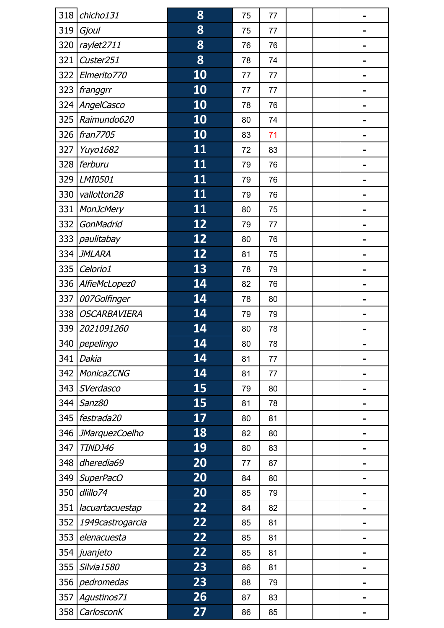| 318 | chicho131             | 8         | 75 | 77 |  |   |
|-----|-----------------------|-----------|----|----|--|---|
| 319 | Gjoul                 | 8         | 75 | 77 |  |   |
| 320 | raylet2711            | 8         | 76 | 76 |  |   |
| 321 | Custer251             | 8         | 78 | 74 |  |   |
| 322 | Elmerito770           | 10        | 77 | 77 |  |   |
| 323 | franggrr              | 10        | 77 | 77 |  |   |
| 324 | AngelCasco            | 10        | 78 | 76 |  |   |
| 325 | Raimundo620           | 10        | 80 | 74 |  |   |
| 326 | fran7705              | 10        | 83 | 71 |  |   |
| 327 | Yuyo1682              | <u>11</u> | 72 | 83 |  |   |
| 328 | ferburu               | 11        | 79 | 76 |  |   |
| 329 | LMI0501               | 11        | 79 | 76 |  |   |
| 330 | vallotton28           | 11        | 79 | 76 |  |   |
| 331 | <b>MonJcMery</b>      | 11        | 80 | 75 |  |   |
| 332 | GonMadrid             | 12        | 79 | 77 |  |   |
| 333 | paulitabay            | 12        | 80 | 76 |  |   |
| 334 | <b>JMLARA</b>         | 12        | 81 | 75 |  |   |
| 335 | Celorio1              | 13        | 78 | 79 |  |   |
| 336 | AlfieMcLopez0         | 14        | 82 | 76 |  |   |
| 337 | 007Golfinger          | 14        | 78 | 80 |  |   |
| 338 | <b>OSCARBAVIERA</b>   | 14        | 79 | 79 |  |   |
| 339 | 2021091260            | 14        | 80 | 78 |  |   |
|     | 340   pepelingo       | 14        | 80 | 78 |  |   |
| 341 | Dakia                 | 14        | 81 | 77 |  |   |
| 342 | <b>MonicaZCNG</b>     | 14        | 81 | 77 |  |   |
| 343 | SVerdasco             | 15        | 79 | 80 |  |   |
| 344 | Sanz80                | 15        | 81 | 78 |  |   |
| 345 | festrada20            | 17        | 80 | 81 |  |   |
| 346 | <b>JMarquezCoelho</b> | 18        | 82 | 80 |  |   |
| 347 | TINDJ46               | 19        | 80 | 83 |  |   |
| 348 | dheredia69            | 20        | 77 | 87 |  |   |
| 349 | SuperPacO             | 20        | 84 | 80 |  |   |
| 350 | dlillo74              | 20        | 85 | 79 |  |   |
| 351 | lacuartacuestap       | 22        | 84 | 82 |  |   |
| 352 | 1949castrogarcia      | 22        | 85 | 81 |  |   |
| 353 | elenacuesta           | 22        | 85 | 81 |  |   |
| 354 | juanjeto              | 22        | 85 | 81 |  |   |
| 355 | Silvia1580            | 23        | 86 | 81 |  |   |
| 356 | pedromedas            | 23        | 88 | 79 |  | - |
| 357 | Agustinos71           | 26        | 87 | 83 |  |   |
| 358 | CarlosconK            | 27        | 86 | 85 |  |   |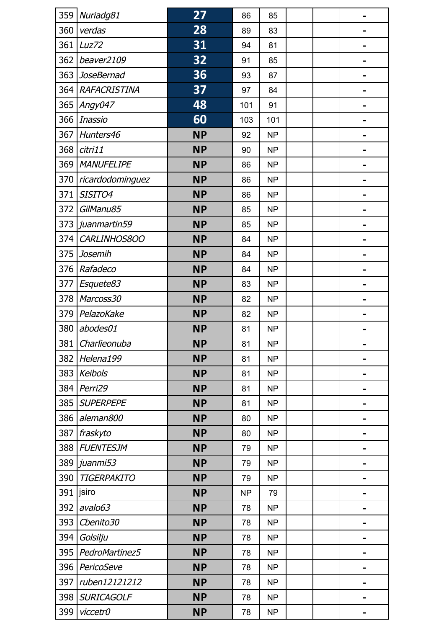| 359 | Nuriadg81          | 27        | 86        | 85        |  |                              |
|-----|--------------------|-----------|-----------|-----------|--|------------------------------|
| 360 | verdas             | 28        | 89        | 83        |  |                              |
| 361 | Luz72              | 31        | 94        | 81        |  | $\blacksquare$               |
| 362 | beaver2109         | 32        | 91        | 85        |  |                              |
| 363 | <b>JoseBernad</b>  | 36        | 93        | 87        |  |                              |
| 364 | RAFACRISTINA       | 37        | 97        | 84        |  | -                            |
| 365 | Angy047            | 48        | 101       | 91        |  |                              |
| 366 | <b>Inassio</b>     | 60        | 103       | 101       |  |                              |
| 367 | Hunters46          | <b>NP</b> | 92        | <b>NP</b> |  | -                            |
| 368 | citri11            | <b>NP</b> | 90        | <b>NP</b> |  |                              |
| 369 | <b>MANUFELIPE</b>  | <b>NP</b> | 86        | <b>NP</b> |  |                              |
| 370 | ricardodominguez   | <b>NP</b> | 86        | <b>NP</b> |  | $\blacksquare$               |
| 371 | SISITO4            | <b>NP</b> | 86        | <b>NP</b> |  |                              |
| 372 | GilManu85          | <b>NP</b> | 85        | <b>NP</b> |  |                              |
| 373 | juanmartin59       | <b>NP</b> | 85        | <b>NP</b> |  | -                            |
| 374 | CARLINHOS800       | <b>NP</b> | 84        | <b>NP</b> |  |                              |
| 375 | Josemih            | <b>NP</b> | 84        | <b>NP</b> |  |                              |
| 376 | Rafadeco           | <b>NP</b> | 84        | <b>NP</b> |  |                              |
| 377 | Esquete83          | <b>NP</b> | 83        | <b>NP</b> |  |                              |
| 378 | Marcoss30          | <b>NP</b> | 82        | <b>NP</b> |  |                              |
| 379 | PelazoKake         | <b>NP</b> | 82        | <b>NP</b> |  | -                            |
| 380 | abodes01           | <b>NP</b> | 81        | <b>NP</b> |  |                              |
| 381 | Charlieonuba       | <b>NP</b> | 81        | <b>NP</b> |  |                              |
| 382 | Helena199          | <b>NP</b> | 81        | <b>NP</b> |  | $\qquad \qquad \blacksquare$ |
| 383 | <b>Keibols</b>     | <b>NP</b> | 81        | <b>NP</b> |  |                              |
| 384 | Perri29            | <b>NP</b> | 81        | <b>NP</b> |  |                              |
| 385 | <b>SUPERPEPE</b>   | <b>NP</b> | 81        | <b>NP</b> |  | -                            |
| 386 | aleman800          | <b>NP</b> | 80        | <b>NP</b> |  |                              |
| 387 | fraskyto           | <b>NP</b> | 80        | <b>NP</b> |  |                              |
| 388 | <b>FUENTESJM</b>   | <b>NP</b> | 79        | <b>NP</b> |  | $\blacksquare$               |
| 389 | juanmi53           | <b>NP</b> | 79        | <b>NP</b> |  |                              |
| 390 | <b>TIGERPAKITO</b> | <b>NP</b> | 79        | <b>NP</b> |  |                              |
| 391 | jsiro              | <b>NP</b> | <b>NP</b> | 79        |  |                              |
| 392 | avalo63            | <b>NP</b> | 78        | <b>NP</b> |  |                              |
| 393 | Cbenito30          | <b>NP</b> | 78        | <b>NP</b> |  |                              |
| 394 | Golsilju           | <b>NP</b> | 78        | <b>NP</b> |  |                              |
| 395 | PedroMartinez5     | <b>NP</b> | 78        | <b>NP</b> |  |                              |
| 396 | PericoSeve         | <b>NP</b> | 78        | <b>NP</b> |  |                              |
| 397 | ruben12121212      | <b>NP</b> | 78        | <b>NP</b> |  |                              |
| 398 | <b>SURICAGOLF</b>  | <b>NP</b> | 78        | <b>NP</b> |  |                              |
| 399 | viccetr0           | <b>NP</b> | 78        | <b>NP</b> |  |                              |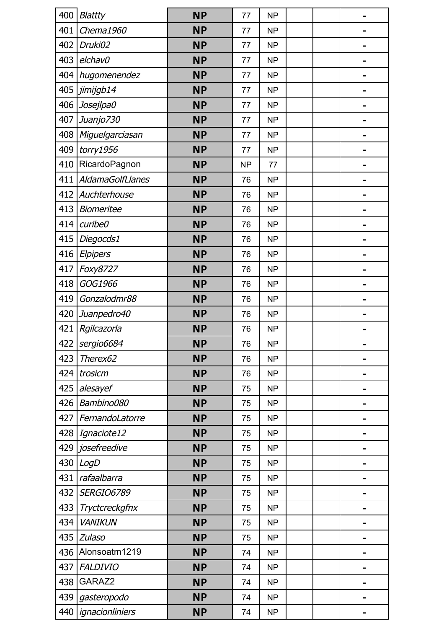| 400 | <b>Blattty</b>          | <b>NP</b> | 77        | <b>NP</b> |  |  |
|-----|-------------------------|-----------|-----------|-----------|--|--|
| 401 | Chema1960               | <b>NP</b> | 77        | <b>NP</b> |  |  |
| 402 | Druki02                 | <b>NP</b> | 77        | <b>NP</b> |  |  |
| 403 | elchav0                 | <b>NP</b> | 77        | <b>NP</b> |  |  |
| 404 | hugomenendez            | <b>NP</b> | 77        | <b>NP</b> |  |  |
| 405 | jimijgb14               | <b>NP</b> | 77        | <b>NP</b> |  |  |
| 406 | Josejlpa0               | <b>NP</b> | 77        | <b>NP</b> |  |  |
| 407 | Juanjo730               | <b>NP</b> | 77        | <b>NP</b> |  |  |
| 408 | Miguelgarciasan         | <b>NP</b> | 77        | <b>NP</b> |  |  |
| 409 | $t$ orry $1956$         | <b>NP</b> | 77        | <b>NP</b> |  |  |
| 410 | RicardoPagnon           | <b>NP</b> | <b>NP</b> | 77        |  |  |
| 411 | <b>AldamaGolfLlanes</b> | <b>NP</b> | 76        | <b>NP</b> |  |  |
| 412 | Auchterhouse            | <b>NP</b> | 76        | <b>NP</b> |  |  |
| 413 | <b>Biomeritee</b>       | <b>NP</b> | 76        | <b>NP</b> |  |  |
| 414 | curibe0                 | <b>NP</b> | 76        | <b>NP</b> |  |  |
| 415 | Diegocds1               | <b>NP</b> | 76        | <b>NP</b> |  |  |
| 416 | Elpipers                | <b>NP</b> | 76        | <b>NP</b> |  |  |
| 417 | Foxy8727                | <b>NP</b> | 76        | <b>NP</b> |  |  |
| 418 | GOG1966                 | <b>NP</b> | 76        | <b>NP</b> |  |  |
| 419 | Gonzalodmr88            | <b>NP</b> | 76        | <b>NP</b> |  |  |
| 420 | Juanpedro40             | <b>NP</b> | 76        | <b>NP</b> |  |  |
| 421 | Rgilcazorla             | <b>NP</b> | 76        | <b>NP</b> |  |  |
|     | 422   sergio6684        | <b>NP</b> | 76        | <b>NP</b> |  |  |
| 423 | Therex62                | <b>NP</b> | 76        | <b>NP</b> |  |  |
| 424 | trosicm                 | <b>NP</b> | 76        | <b>NP</b> |  |  |
| 425 | alesayef                | <b>NP</b> | 75        | <b>NP</b> |  |  |
| 426 | Bambino080              | <b>NP</b> | 75        | <b>NP</b> |  |  |
| 427 | FernandoLatorre         | <b>NP</b> | 75        | <b>NP</b> |  |  |
| 428 | Ignaciote12             | <b>NP</b> | 75        | <b>NP</b> |  |  |
| 429 | josefreedive            | <b>NP</b> | 75        | <b>NP</b> |  |  |
| 430 | LogD                    | <b>NP</b> | 75        | <b>NP</b> |  |  |
| 431 | rafaalbarra             | <b>NP</b> | 75        | <b>NP</b> |  |  |
| 432 | <b>SERGIO6789</b>       | <b>NP</b> | 75        | <b>NP</b> |  |  |
| 433 | <b>Tryctcreckgfnx</b>   | <b>NP</b> | 75        | <b>NP</b> |  |  |
| 434 | <b>VANIKUN</b>          | <b>NP</b> | 75        | <b>NP</b> |  |  |
| 435 | Zulaso                  | <b>NP</b> | 75        | <b>NP</b> |  |  |
| 436 | Alonsoatm1219           | <b>NP</b> | 74        | <b>NP</b> |  |  |
| 437 | <b>FALDIVIO</b>         | <b>NP</b> | 74        | <b>NP</b> |  |  |
| 438 | GARAZ2                  | <b>NP</b> | 74        | <b>NP</b> |  |  |
| 439 | gasteropodo             | <b>NP</b> | 74        | <b>NP</b> |  |  |
| 440 | ignacionliniers         | <b>NP</b> | 74        | <b>NP</b> |  |  |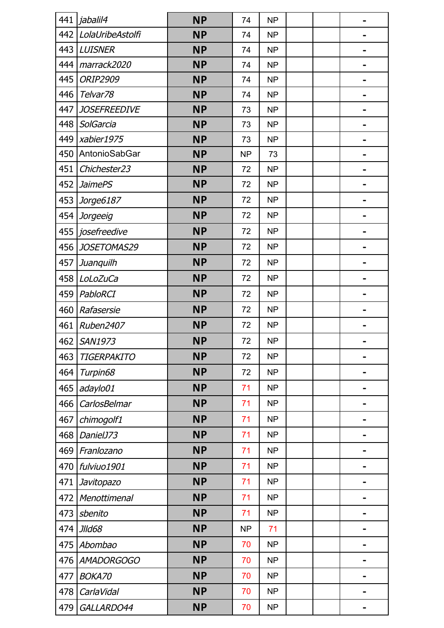| 441 | jabalil4            | <b>NP</b> | 74        | <b>NP</b> |  |                              |
|-----|---------------------|-----------|-----------|-----------|--|------------------------------|
| 442 | LolaUribeAstolfi    | <b>NP</b> | 74        | <b>NP</b> |  |                              |
| 443 | <b>LUISNER</b>      | <b>NP</b> | 74        | <b>NP</b> |  |                              |
| 444 | marrack2020         | <b>NP</b> | 74        | <b>NP</b> |  |                              |
| 445 | <b>ORIP2909</b>     | <b>NP</b> | 74        | <b>NP</b> |  |                              |
| 446 | Telvar78            | <b>NP</b> | 74        | <b>NP</b> |  |                              |
| 447 | <b>JOSEFREEDIVE</b> | <b>NP</b> | 73        | <b>NP</b> |  |                              |
| 448 | SolGarcia           | <b>NP</b> | 73        | <b>NP</b> |  |                              |
| 449 | xabier1975          | <b>NP</b> | 73        | <b>NP</b> |  |                              |
| 450 | AntonioSabGar       | <b>NP</b> | <b>NP</b> | 73        |  | -                            |
| 451 | Chichester23        | <b>NP</b> | 72        | <b>NP</b> |  |                              |
| 452 | <b>JaimePS</b>      | <b>NP</b> | 72        | <b>NP</b> |  |                              |
| 453 | Jorge6187           | <b>NP</b> | 72        | <b>NP</b> |  | $\qquad \qquad \blacksquare$ |
| 454 | Jorgeeig            | <b>NP</b> | 72        | <b>NP</b> |  |                              |
| 455 | josefreedive        | <b>NP</b> | 72        | <b>NP</b> |  |                              |
| 456 | JOSETOMAS29         | <b>NP</b> | 72        | <b>NP</b> |  |                              |
| 457 | Juanquilh           | <b>NP</b> | 72        | <b>NP</b> |  | $\blacksquare$               |
| 458 | LoLoZuCa            | <b>NP</b> | 72        | <b>NP</b> |  |                              |
| 459 | PabloRCI            | <b>NP</b> | 72        | <b>NP</b> |  |                              |
| 460 | Rafasersie          | <b>NP</b> | 72        | <b>NP</b> |  |                              |
| 461 | Ruben2407           | <b>NP</b> | 72        | <b>NP</b> |  | $\blacksquare$               |
| 462 | SAN1973             | <b>NP</b> | 72        | <b>NP</b> |  |                              |
| 463 | TIGERPAKITO         | <b>NP</b> | 72        | <b>NP</b> |  | $\blacksquare$               |
| 464 | Turpin68            | <b>NP</b> | 72        | <b>NP</b> |  |                              |
| 465 | adaylo01            | <b>NP</b> | 71        | <b>NP</b> |  |                              |
| 466 | CarlosBelmar        | <b>NP</b> | 71        | <b>NP</b> |  |                              |
| 467 | chimogolf1          | <b>NP</b> | 71        | <b>NP</b> |  | $\blacksquare$               |
| 468 | DanielJ73           | <b>NP</b> | 71        | <b>NP</b> |  |                              |
| 469 | Franlozano          | <b>NP</b> | 71        | <b>NP</b> |  |                              |
| 470 | fulviuo1901         | <b>NP</b> | 71        | <b>NP</b> |  |                              |
| 471 | Javitopazo          | <b>NP</b> | 71        | <b>NP</b> |  |                              |
| 472 | Menottimenal        | <b>NP</b> | 71        | <b>NP</b> |  |                              |
| 473 | sbenito             | <b>NP</b> | 71        | <b>NP</b> |  |                              |
|     |                     | <b>NP</b> | <b>NP</b> | 71        |  |                              |
| 474 | <b>JIId68</b>       |           |           | <b>NP</b> |  |                              |
| 475 | Abombao             | <b>NP</b> | 70        |           |  |                              |
| 476 | <b>AMADORGOGO</b>   | <b>NP</b> | 70        | <b>NP</b> |  |                              |
| 477 | <b>BOKA70</b>       | <b>NP</b> | 70        | <b>NP</b> |  |                              |
| 478 | CarlaVidal          | <b>NP</b> | 70        | <b>NP</b> |  |                              |
| 479 | GALLARDO44          | <b>NP</b> | 70        | <b>NP</b> |  |                              |